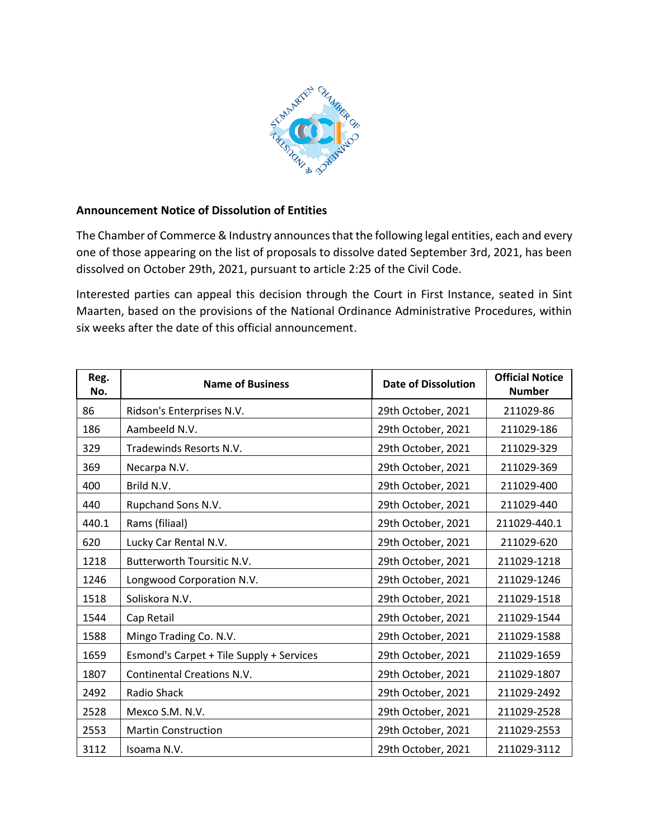

## **Announcement Notice of Dissolution of Entities**

The Chamber of Commerce & Industry announces that the following legal entities, each and every one of those appearing on the list of proposals to dissolve dated September 3rd, 2021, has been dissolved on October 29th, 2021, pursuant to article 2:25 of the Civil Code.

Interested parties can appeal this decision through the Court in First Instance, seated in Sint Maarten, based on the provisions of the National Ordinance Administrative Procedures, within six weeks after the date of this official announcement.

| Reg.<br>No. | <b>Name of Business</b>                  | <b>Date of Dissolution</b> | <b>Official Notice</b><br><b>Number</b> |
|-------------|------------------------------------------|----------------------------|-----------------------------------------|
| 86          | Ridson's Enterprises N.V.                | 29th October, 2021         | 211029-86                               |
| 186         | Aambeeld N.V.                            | 29th October, 2021         | 211029-186                              |
| 329         | Tradewinds Resorts N.V.                  | 29th October, 2021         | 211029-329                              |
| 369         | Necarpa N.V.                             | 29th October, 2021         | 211029-369                              |
| 400         | Brild N.V.                               | 29th October, 2021         | 211029-400                              |
| 440         | Rupchand Sons N.V.                       | 29th October, 2021         | 211029-440                              |
| 440.1       | Rams (filiaal)                           | 29th October, 2021         | 211029-440.1                            |
| 620         | Lucky Car Rental N.V.                    | 29th October, 2021         | 211029-620                              |
| 1218        | Butterworth Toursitic N.V.               | 29th October, 2021         | 211029-1218                             |
| 1246        | Longwood Corporation N.V.                | 29th October, 2021         | 211029-1246                             |
| 1518        | Soliskora N.V.                           | 29th October, 2021         | 211029-1518                             |
| 1544        | Cap Retail                               | 29th October, 2021         | 211029-1544                             |
| 1588        | Mingo Trading Co. N.V.                   | 29th October, 2021         | 211029-1588                             |
| 1659        | Esmond's Carpet + Tile Supply + Services | 29th October, 2021         | 211029-1659                             |
| 1807        | <b>Continental Creations N.V.</b>        | 29th October, 2021         | 211029-1807                             |
| 2492        | Radio Shack                              | 29th October, 2021         | 211029-2492                             |
| 2528        | Mexco S.M. N.V.                          | 29th October, 2021         | 211029-2528                             |
| 2553        | <b>Martin Construction</b>               | 29th October, 2021         | 211029-2553                             |
| 3112        | Isoama N.V.                              | 29th October, 2021         | 211029-3112                             |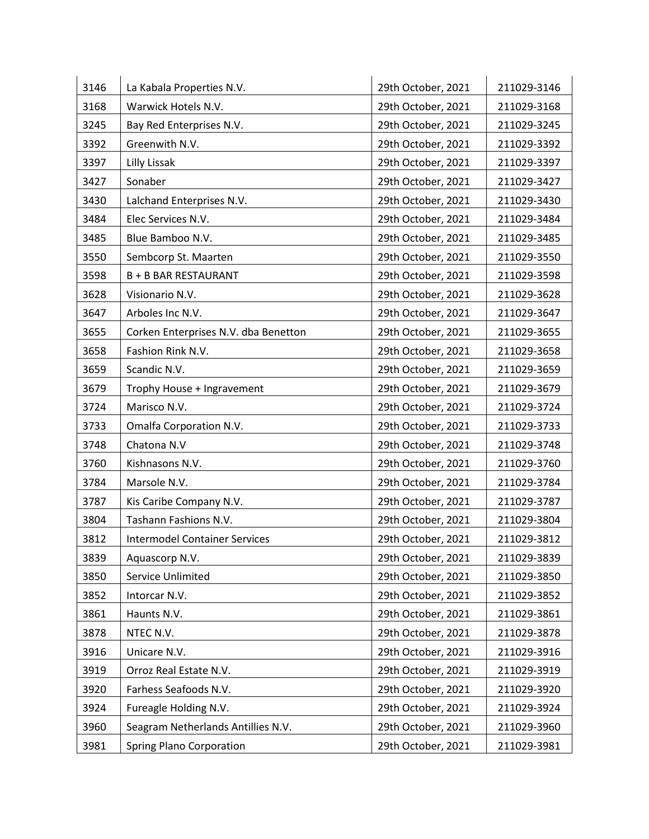| 3146 | La Kabala Properties N.V.            | 29th October, 2021 | 211029-3146 |
|------|--------------------------------------|--------------------|-------------|
| 3168 | Warwick Hotels N.V.                  | 29th October, 2021 | 211029-3168 |
| 3245 | Bay Red Enterprises N.V.             | 29th October, 2021 | 211029-3245 |
| 3392 | Greenwith N.V.                       | 29th October, 2021 | 211029-3392 |
| 3397 | Lilly Lissak                         | 29th October, 2021 | 211029-3397 |
| 3427 | Sonaber                              | 29th October, 2021 | 211029-3427 |
| 3430 | Lalchand Enterprises N.V.            | 29th October, 2021 | 211029-3430 |
| 3484 | Elec Services N.V.                   | 29th October, 2021 | 211029-3484 |
| 3485 | Blue Bamboo N.V.                     | 29th October, 2021 | 211029-3485 |
| 3550 | Sembcorp St. Maarten                 | 29th October, 2021 | 211029-3550 |
| 3598 | <b>B + B BAR RESTAURANT</b>          | 29th October, 2021 | 211029-3598 |
| 3628 | Visionario N.V.                      | 29th October, 2021 | 211029-3628 |
| 3647 | Arboles Inc N.V.                     | 29th October, 2021 | 211029-3647 |
| 3655 | Corken Enterprises N.V. dba Benetton | 29th October, 2021 | 211029-3655 |
| 3658 | Fashion Rink N.V.                    | 29th October, 2021 | 211029-3658 |
| 3659 | Scandic N.V.                         | 29th October, 2021 | 211029-3659 |
| 3679 | Trophy House + Ingravement           | 29th October, 2021 | 211029-3679 |
| 3724 | Marisco N.V.                         | 29th October, 2021 | 211029-3724 |
| 3733 | Omalfa Corporation N.V.              | 29th October, 2021 | 211029-3733 |
| 3748 | Chatona N.V                          | 29th October, 2021 | 211029-3748 |
| 3760 | Kishnasons N.V.                      | 29th October, 2021 | 211029-3760 |
| 3784 | Marsole N.V.                         | 29th October, 2021 | 211029-3784 |
| 3787 | Kis Caribe Company N.V.              | 29th October, 2021 | 211029-3787 |
| 3804 | Tashann Fashions N.V.                | 29th October, 2021 | 211029-3804 |
| 3812 | <b>Intermodel Container Services</b> | 29th October, 2021 | 211029-3812 |
| 3839 | Aquascorp N.V.                       | 29th October, 2021 | 211029-3839 |
| 3850 | Service Unlimited                    | 29th October, 2021 | 211029-3850 |
| 3852 | Intorcar N.V.                        | 29th October, 2021 | 211029-3852 |
| 3861 | Haunts N.V.                          | 29th October, 2021 | 211029-3861 |
| 3878 | NTEC N.V.                            | 29th October, 2021 | 211029-3878 |
| 3916 | Unicare N.V.                         | 29th October, 2021 | 211029-3916 |
| 3919 | Orroz Real Estate N.V.               | 29th October, 2021 | 211029-3919 |
| 3920 | Farhess Seafoods N.V.                | 29th October, 2021 | 211029-3920 |
| 3924 | Fureagle Holding N.V.                | 29th October, 2021 | 211029-3924 |
| 3960 | Seagram Netherlands Antillies N.V.   | 29th October, 2021 | 211029-3960 |
| 3981 | <b>Spring Plano Corporation</b>      | 29th October, 2021 | 211029-3981 |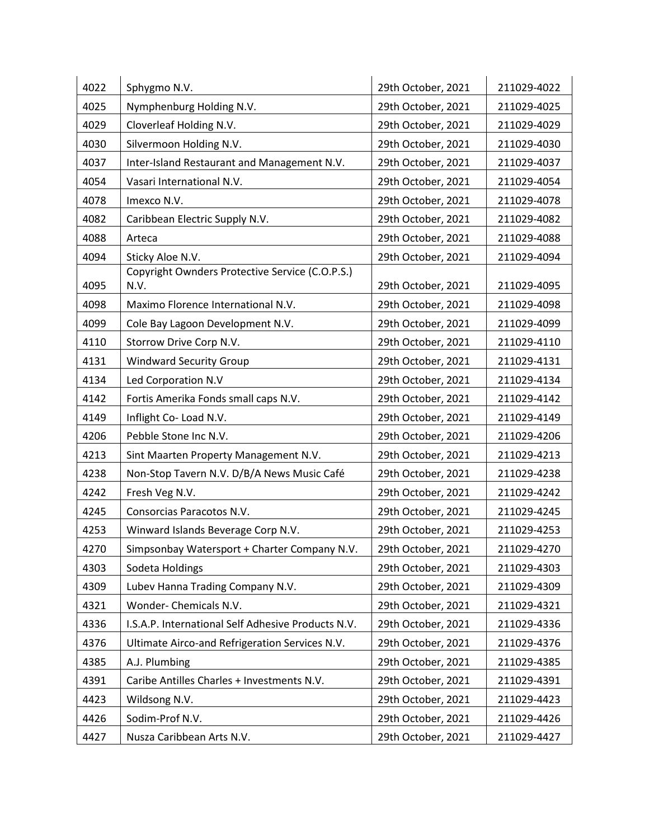| 4022 | Sphygmo N.V.                                            | 29th October, 2021 | 211029-4022 |
|------|---------------------------------------------------------|--------------------|-------------|
| 4025 | Nymphenburg Holding N.V.                                | 29th October, 2021 | 211029-4025 |
| 4029 | Cloverleaf Holding N.V.                                 | 29th October, 2021 | 211029-4029 |
| 4030 | Silvermoon Holding N.V.                                 | 29th October, 2021 | 211029-4030 |
| 4037 | Inter-Island Restaurant and Management N.V.             | 29th October, 2021 | 211029-4037 |
| 4054 | Vasari International N.V.                               | 29th October, 2021 | 211029-4054 |
| 4078 | Imexco N.V.                                             | 29th October, 2021 | 211029-4078 |
| 4082 | Caribbean Electric Supply N.V.                          | 29th October, 2021 | 211029-4082 |
| 4088 | Arteca                                                  | 29th October, 2021 | 211029-4088 |
| 4094 | Sticky Aloe N.V.                                        | 29th October, 2021 | 211029-4094 |
| 4095 | Copyright Ownders Protective Service (C.O.P.S.)<br>N.V. | 29th October, 2021 | 211029-4095 |
| 4098 | Maximo Florence International N.V.                      | 29th October, 2021 | 211029-4098 |
| 4099 | Cole Bay Lagoon Development N.V.                        | 29th October, 2021 | 211029-4099 |
| 4110 | Storrow Drive Corp N.V.                                 | 29th October, 2021 | 211029-4110 |
| 4131 | <b>Windward Security Group</b>                          | 29th October, 2021 | 211029-4131 |
| 4134 | Led Corporation N.V                                     | 29th October, 2021 | 211029-4134 |
| 4142 | Fortis Amerika Fonds small caps N.V.                    | 29th October, 2021 | 211029-4142 |
| 4149 | Inflight Co-Load N.V.                                   | 29th October, 2021 | 211029-4149 |
| 4206 | Pebble Stone Inc N.V.                                   | 29th October, 2021 | 211029-4206 |
| 4213 | Sint Maarten Property Management N.V.                   | 29th October, 2021 | 211029-4213 |
| 4238 | Non-Stop Tavern N.V. D/B/A News Music Café              | 29th October, 2021 | 211029-4238 |
| 4242 | Fresh Veg N.V.                                          | 29th October, 2021 | 211029-4242 |
| 4245 | Consorcias Paracotos N.V.                               | 29th October, 2021 | 211029-4245 |
| 4253 | Winward Islands Beverage Corp N.V.                      | 29th October, 2021 | 211029-4253 |
| 4270 | Simpsonbay Watersport + Charter Company N.V.            | 29th October, 2021 | 211029-4270 |
| 4303 | Sodeta Holdings                                         | 29th October, 2021 | 211029-4303 |
| 4309 | Lubev Hanna Trading Company N.V.                        | 29th October, 2021 | 211029-4309 |
| 4321 | Wonder- Chemicals N.V.                                  | 29th October, 2021 | 211029-4321 |
| 4336 | I.S.A.P. International Self Adhesive Products N.V.      | 29th October, 2021 | 211029-4336 |
| 4376 | Ultimate Airco-and Refrigeration Services N.V.          | 29th October, 2021 | 211029-4376 |
| 4385 | A.J. Plumbing                                           | 29th October, 2021 | 211029-4385 |
| 4391 | Caribe Antilles Charles + Investments N.V.              | 29th October, 2021 | 211029-4391 |
| 4423 | Wildsong N.V.                                           | 29th October, 2021 | 211029-4423 |
| 4426 | Sodim-Prof N.V.                                         | 29th October, 2021 | 211029-4426 |
| 4427 | Nusza Caribbean Arts N.V.                               | 29th October, 2021 | 211029-4427 |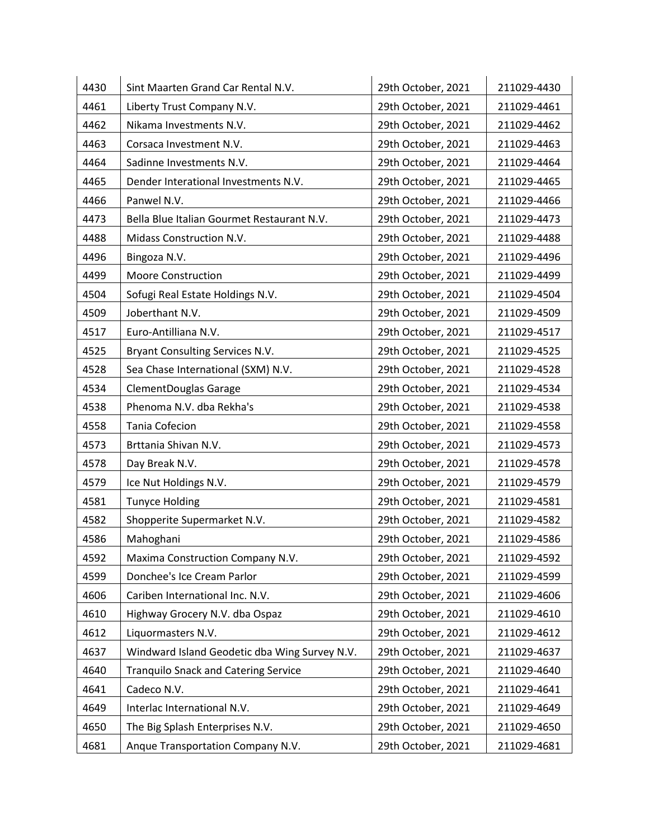| 4430 | Sint Maarten Grand Car Rental N.V.            | 29th October, 2021 | 211029-4430 |
|------|-----------------------------------------------|--------------------|-------------|
| 4461 | Liberty Trust Company N.V.                    | 29th October, 2021 | 211029-4461 |
| 4462 | Nikama Investments N.V.                       | 29th October, 2021 | 211029-4462 |
| 4463 | Corsaca Investment N.V.                       | 29th October, 2021 | 211029-4463 |
| 4464 | Sadinne Investments N.V.                      | 29th October, 2021 | 211029-4464 |
| 4465 | Dender Interational Investments N.V.          | 29th October, 2021 | 211029-4465 |
| 4466 | Panwel N.V.                                   | 29th October, 2021 | 211029-4466 |
| 4473 | Bella Blue Italian Gourmet Restaurant N.V.    | 29th October, 2021 | 211029-4473 |
| 4488 | Midass Construction N.V.                      | 29th October, 2021 | 211029-4488 |
| 4496 | Bingoza N.V.                                  | 29th October, 2021 | 211029-4496 |
| 4499 | <b>Moore Construction</b>                     | 29th October, 2021 | 211029-4499 |
| 4504 | Sofugi Real Estate Holdings N.V.              | 29th October, 2021 | 211029-4504 |
| 4509 | Joberthant N.V.                               | 29th October, 2021 | 211029-4509 |
| 4517 | Euro-Antilliana N.V.                          | 29th October, 2021 | 211029-4517 |
| 4525 | Bryant Consulting Services N.V.               | 29th October, 2021 | 211029-4525 |
| 4528 | Sea Chase International (SXM) N.V.            | 29th October, 2021 | 211029-4528 |
| 4534 | <b>ClementDouglas Garage</b>                  | 29th October, 2021 | 211029-4534 |
| 4538 | Phenoma N.V. dba Rekha's                      | 29th October, 2021 | 211029-4538 |
| 4558 | <b>Tania Cofecion</b>                         | 29th October, 2021 | 211029-4558 |
| 4573 | Brttania Shivan N.V.                          | 29th October, 2021 | 211029-4573 |
| 4578 | Day Break N.V.                                | 29th October, 2021 | 211029-4578 |
| 4579 | Ice Nut Holdings N.V.                         | 29th October, 2021 | 211029-4579 |
| 4581 | <b>Tunyce Holding</b>                         | 29th October, 2021 | 211029-4581 |
| 4582 | Shopperite Supermarket N.V.                   | 29th October, 2021 | 211029-4582 |
| 4586 | Mahoghani                                     | 29th October, 2021 | 211029-4586 |
| 4592 | Maxima Construction Company N.V.              | 29th October, 2021 | 211029-4592 |
| 4599 | Donchee's Ice Cream Parlor                    | 29th October, 2021 | 211029-4599 |
| 4606 | Cariben International Inc. N.V.               | 29th October, 2021 | 211029-4606 |
| 4610 | Highway Grocery N.V. dba Ospaz                | 29th October, 2021 | 211029-4610 |
| 4612 | Liquormasters N.V.                            | 29th October, 2021 | 211029-4612 |
| 4637 | Windward Island Geodetic dba Wing Survey N.V. | 29th October, 2021 | 211029-4637 |
| 4640 | <b>Tranquilo Snack and Catering Service</b>   | 29th October, 2021 | 211029-4640 |
| 4641 | Cadeco N.V.                                   | 29th October, 2021 | 211029-4641 |
| 4649 | Interlac International N.V.                   | 29th October, 2021 | 211029-4649 |
| 4650 | The Big Splash Enterprises N.V.               | 29th October, 2021 | 211029-4650 |
| 4681 | Anque Transportation Company N.V.             | 29th October, 2021 | 211029-4681 |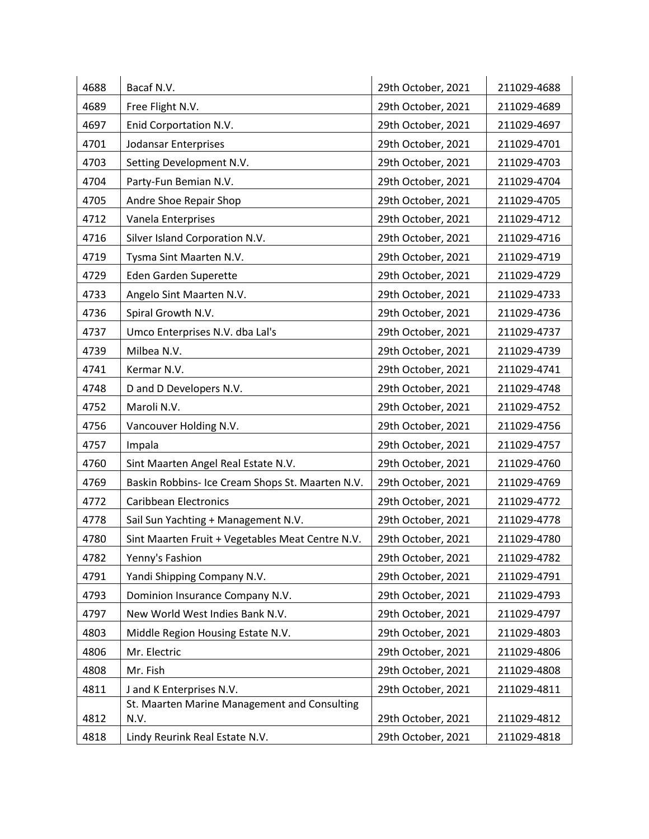| 4688 | Bacaf N.V.                                       | 29th October, 2021 | 211029-4688 |
|------|--------------------------------------------------|--------------------|-------------|
| 4689 | Free Flight N.V.                                 | 29th October, 2021 | 211029-4689 |
| 4697 | Enid Corportation N.V.                           | 29th October, 2021 | 211029-4697 |
| 4701 | Jodansar Enterprises                             | 29th October, 2021 | 211029-4701 |
| 4703 | Setting Development N.V.                         | 29th October, 2021 | 211029-4703 |
| 4704 | Party-Fun Bemian N.V.                            | 29th October, 2021 | 211029-4704 |
| 4705 | Andre Shoe Repair Shop                           | 29th October, 2021 | 211029-4705 |
| 4712 | Vanela Enterprises                               | 29th October, 2021 | 211029-4712 |
| 4716 | Silver Island Corporation N.V.                   | 29th October, 2021 | 211029-4716 |
| 4719 | Tysma Sint Maarten N.V.                          | 29th October, 2021 | 211029-4719 |
| 4729 | Eden Garden Superette                            | 29th October, 2021 | 211029-4729 |
| 4733 | Angelo Sint Maarten N.V.                         | 29th October, 2021 | 211029-4733 |
| 4736 | Spiral Growth N.V.                               | 29th October, 2021 | 211029-4736 |
| 4737 | Umco Enterprises N.V. dba Lal's                  | 29th October, 2021 | 211029-4737 |
| 4739 | Milbea N.V.                                      | 29th October, 2021 | 211029-4739 |
| 4741 | Kermar N.V.                                      | 29th October, 2021 | 211029-4741 |
| 4748 | D and D Developers N.V.                          | 29th October, 2021 | 211029-4748 |
| 4752 | Maroli N.V.                                      | 29th October, 2021 | 211029-4752 |
| 4756 | Vancouver Holding N.V.                           | 29th October, 2021 | 211029-4756 |
| 4757 | Impala                                           | 29th October, 2021 | 211029-4757 |
| 4760 | Sint Maarten Angel Real Estate N.V.              | 29th October, 2021 | 211029-4760 |
| 4769 | Baskin Robbins- Ice Cream Shops St. Maarten N.V. | 29th October, 2021 | 211029-4769 |
| 4772 | <b>Caribbean Electronics</b>                     | 29th October, 2021 | 211029-4772 |
| 4778 | Sail Sun Yachting + Management N.V.              | 29th October, 2021 | 211029-4778 |
| 4780 | Sint Maarten Fruit + Vegetables Meat Centre N.V. | 29th October, 2021 | 211029-4780 |
| 4782 | Yenny's Fashion                                  | 29th October, 2021 | 211029-4782 |
| 4791 | Yandi Shipping Company N.V.                      | 29th October, 2021 | 211029-4791 |
| 4793 | Dominion Insurance Company N.V.                  | 29th October, 2021 | 211029-4793 |
| 4797 | New World West Indies Bank N.V.                  | 29th October, 2021 | 211029-4797 |
| 4803 | Middle Region Housing Estate N.V.                | 29th October, 2021 | 211029-4803 |
| 4806 | Mr. Electric                                     | 29th October, 2021 | 211029-4806 |
| 4808 | Mr. Fish                                         | 29th October, 2021 | 211029-4808 |
| 4811 | J and K Enterprises N.V.                         | 29th October, 2021 | 211029-4811 |
|      | St. Maarten Marine Management and Consulting     |                    |             |
| 4812 | N.V.                                             | 29th October, 2021 | 211029-4812 |
| 4818 | Lindy Reurink Real Estate N.V.                   | 29th October, 2021 | 211029-4818 |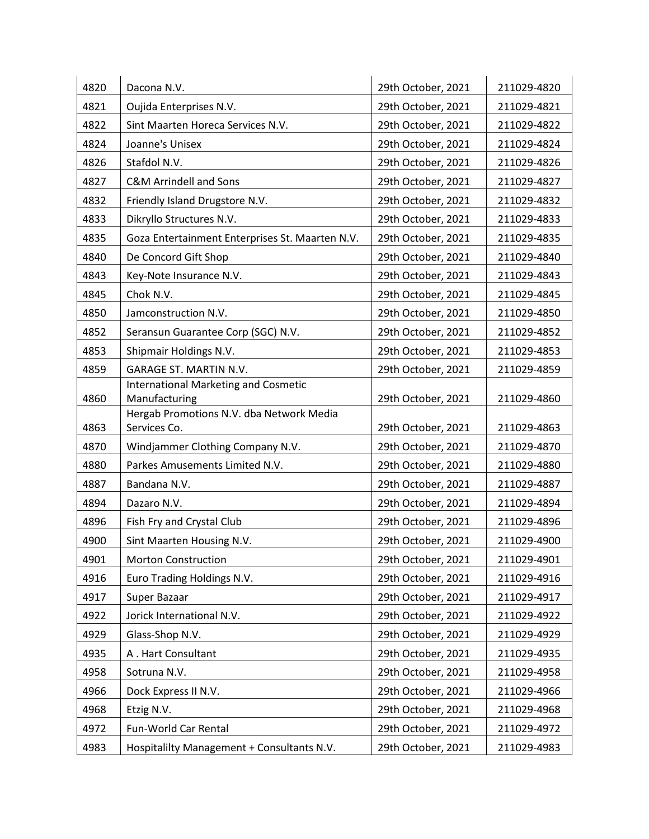| 4820 | Dacona N.V.                                                  | 29th October, 2021 | 211029-4820 |
|------|--------------------------------------------------------------|--------------------|-------------|
| 4821 | Oujida Enterprises N.V.                                      | 29th October, 2021 | 211029-4821 |
| 4822 | Sint Maarten Horeca Services N.V.                            | 29th October, 2021 | 211029-4822 |
| 4824 | Joanne's Unisex                                              | 29th October, 2021 | 211029-4824 |
| 4826 | Stafdol N.V.                                                 | 29th October, 2021 | 211029-4826 |
| 4827 | <b>C&amp;M Arrindell and Sons</b>                            | 29th October, 2021 | 211029-4827 |
| 4832 | Friendly Island Drugstore N.V.                               | 29th October, 2021 | 211029-4832 |
| 4833 | Dikryllo Structures N.V.                                     | 29th October, 2021 | 211029-4833 |
| 4835 | Goza Entertainment Enterprises St. Maarten N.V.              | 29th October, 2021 | 211029-4835 |
| 4840 | De Concord Gift Shop                                         | 29th October, 2021 | 211029-4840 |
| 4843 | Key-Note Insurance N.V.                                      | 29th October, 2021 | 211029-4843 |
| 4845 | Chok N.V.                                                    | 29th October, 2021 | 211029-4845 |
| 4850 | Jamconstruction N.V.                                         | 29th October, 2021 | 211029-4850 |
| 4852 | Seransun Guarantee Corp (SGC) N.V.                           | 29th October, 2021 | 211029-4852 |
| 4853 | Shipmair Holdings N.V.                                       | 29th October, 2021 | 211029-4853 |
| 4859 | <b>GARAGE ST. MARTIN N.V.</b>                                | 29th October, 2021 | 211029-4859 |
| 4860 | <b>International Marketing and Cosmetic</b><br>Manufacturing | 29th October, 2021 | 211029-4860 |
| 4863 | Hergab Promotions N.V. dba Network Media<br>Services Co.     | 29th October, 2021 | 211029-4863 |
| 4870 | Windjammer Clothing Company N.V.                             | 29th October, 2021 | 211029-4870 |
| 4880 | Parkes Amusements Limited N.V.                               | 29th October, 2021 | 211029-4880 |
| 4887 | Bandana N.V.                                                 | 29th October, 2021 | 211029-4887 |
| 4894 | Dazaro N.V.                                                  | 29th October, 2021 | 211029-4894 |
| 4896 | Fish Fry and Crystal Club                                    | 29th October, 2021 | 211029-4896 |
| 4900 | Sint Maarten Housing N.V.                                    | 29th October, 2021 | 211029-4900 |
| 4901 | <b>Morton Construction</b>                                   | 29th October, 2021 | 211029-4901 |
| 4916 | Euro Trading Holdings N.V.                                   | 29th October, 2021 | 211029-4916 |
| 4917 | Super Bazaar                                                 | 29th October, 2021 | 211029-4917 |
| 4922 | Jorick International N.V.                                    | 29th October, 2021 | 211029-4922 |
| 4929 | Glass-Shop N.V.                                              | 29th October, 2021 | 211029-4929 |
| 4935 | A. Hart Consultant                                           | 29th October, 2021 | 211029-4935 |
| 4958 | Sotruna N.V.                                                 | 29th October, 2021 | 211029-4958 |
| 4966 | Dock Express II N.V.                                         | 29th October, 2021 | 211029-4966 |
| 4968 | Etzig N.V.                                                   | 29th October, 2021 | 211029-4968 |
| 4972 | Fun-World Car Rental                                         | 29th October, 2021 | 211029-4972 |
| 4983 | Hospitalilty Management + Consultants N.V.                   | 29th October, 2021 | 211029-4983 |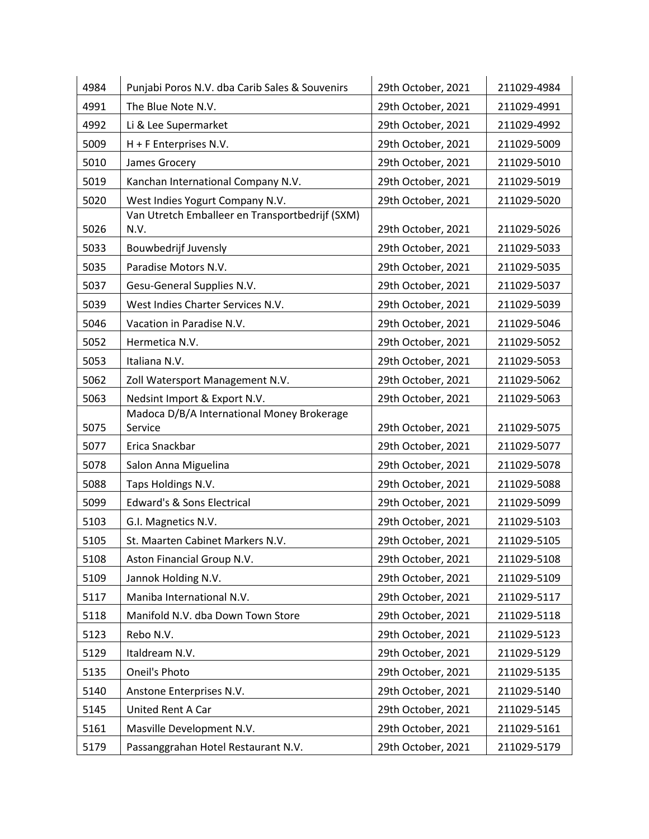| 4984 | Punjabi Poros N.V. dba Carib Sales & Souvenirs          | 29th October, 2021 | 211029-4984 |
|------|---------------------------------------------------------|--------------------|-------------|
| 4991 | The Blue Note N.V.                                      | 29th October, 2021 | 211029-4991 |
| 4992 | Li & Lee Supermarket                                    | 29th October, 2021 | 211029-4992 |
| 5009 | H + F Enterprises N.V.                                  | 29th October, 2021 | 211029-5009 |
| 5010 | James Grocery                                           | 29th October, 2021 | 211029-5010 |
| 5019 | Kanchan International Company N.V.                      | 29th October, 2021 | 211029-5019 |
| 5020 | West Indies Yogurt Company N.V.                         | 29th October, 2021 | 211029-5020 |
| 5026 | Van Utretch Emballeer en Transportbedrijf (SXM)<br>N.V. | 29th October, 2021 | 211029-5026 |
| 5033 | Bouwbedrijf Juvensly                                    | 29th October, 2021 | 211029-5033 |
| 5035 | Paradise Motors N.V.                                    | 29th October, 2021 | 211029-5035 |
| 5037 | Gesu-General Supplies N.V.                              | 29th October, 2021 | 211029-5037 |
| 5039 | West Indies Charter Services N.V.                       | 29th October, 2021 | 211029-5039 |
| 5046 | Vacation in Paradise N.V.                               | 29th October, 2021 | 211029-5046 |
| 5052 | Hermetica N.V.                                          | 29th October, 2021 | 211029-5052 |
| 5053 | Italiana N.V.                                           | 29th October, 2021 | 211029-5053 |
| 5062 | Zoll Watersport Management N.V.                         | 29th October, 2021 | 211029-5062 |
| 5063 | Nedsint Import & Export N.V.                            | 29th October, 2021 | 211029-5063 |
| 5075 | Madoca D/B/A International Money Brokerage<br>Service   | 29th October, 2021 | 211029-5075 |
| 5077 | Erica Snackbar                                          | 29th October, 2021 | 211029-5077 |
| 5078 | Salon Anna Miguelina                                    | 29th October, 2021 | 211029-5078 |
| 5088 | Taps Holdings N.V.                                      | 29th October, 2021 | 211029-5088 |
| 5099 | <b>Edward's &amp; Sons Electrical</b>                   | 29th October, 2021 | 211029-5099 |
| 5103 | G.I. Magnetics N.V.                                     | 29th October, 2021 | 211029-5103 |
| 5105 | St. Maarten Cabinet Markers N.V.                        | 29th October, 2021 | 211029-5105 |
| 5108 | Aston Financial Group N.V.                              | 29th October, 2021 | 211029-5108 |
| 5109 | Jannok Holding N.V.                                     | 29th October, 2021 | 211029-5109 |
| 5117 | Maniba International N.V.                               | 29th October, 2021 | 211029-5117 |
| 5118 | Manifold N.V. dba Down Town Store                       | 29th October, 2021 | 211029-5118 |
| 5123 | Rebo N.V.                                               | 29th October, 2021 | 211029-5123 |
| 5129 | Italdream N.V.                                          | 29th October, 2021 | 211029-5129 |
| 5135 | Oneil's Photo                                           | 29th October, 2021 | 211029-5135 |
| 5140 | Anstone Enterprises N.V.                                | 29th October, 2021 | 211029-5140 |
| 5145 | United Rent A Car                                       | 29th October, 2021 | 211029-5145 |
| 5161 | Masville Development N.V.                               | 29th October, 2021 | 211029-5161 |
| 5179 | Passanggrahan Hotel Restaurant N.V.                     | 29th October, 2021 | 211029-5179 |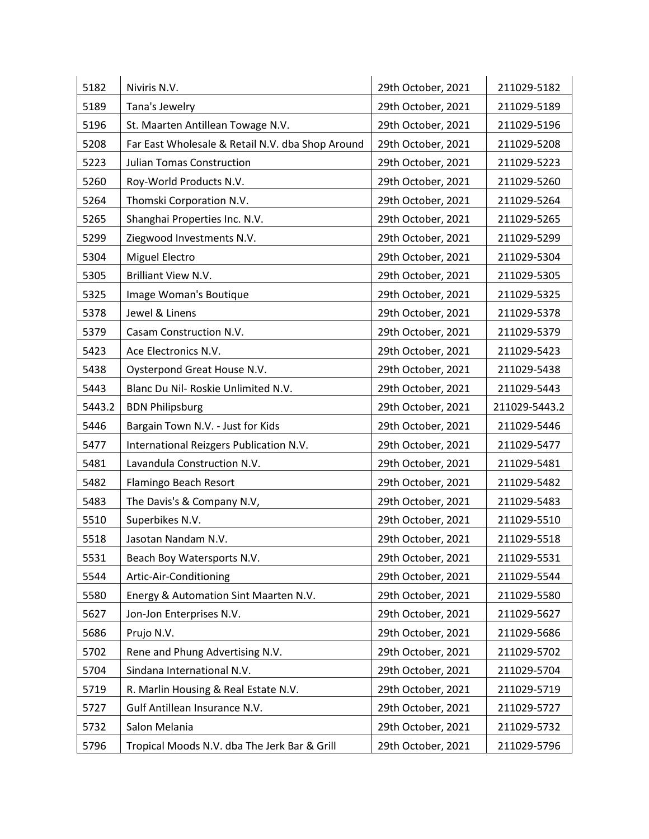| 5182   | Niviris N.V.                                     | 29th October, 2021 | 211029-5182   |
|--------|--------------------------------------------------|--------------------|---------------|
| 5189   | Tana's Jewelry                                   | 29th October, 2021 | 211029-5189   |
| 5196   | St. Maarten Antillean Towage N.V.                | 29th October, 2021 | 211029-5196   |
| 5208   | Far East Wholesale & Retail N.V. dba Shop Around | 29th October, 2021 | 211029-5208   |
| 5223   | <b>Julian Tomas Construction</b>                 | 29th October, 2021 | 211029-5223   |
| 5260   | Roy-World Products N.V.                          | 29th October, 2021 | 211029-5260   |
| 5264   | Thomski Corporation N.V.                         | 29th October, 2021 | 211029-5264   |
| 5265   | Shanghai Properties Inc. N.V.                    | 29th October, 2021 | 211029-5265   |
| 5299   | Ziegwood Investments N.V.                        | 29th October, 2021 | 211029-5299   |
| 5304   | Miguel Electro                                   | 29th October, 2021 | 211029-5304   |
| 5305   | Brilliant View N.V.                              | 29th October, 2021 | 211029-5305   |
| 5325   | Image Woman's Boutique                           | 29th October, 2021 | 211029-5325   |
| 5378   | Jewel & Linens                                   | 29th October, 2021 | 211029-5378   |
| 5379   | Casam Construction N.V.                          | 29th October, 2021 | 211029-5379   |
| 5423   | Ace Electronics N.V.                             | 29th October, 2021 | 211029-5423   |
| 5438   | Oysterpond Great House N.V.                      | 29th October, 2021 | 211029-5438   |
| 5443   | Blanc Du Nil- Roskie Unlimited N.V.              | 29th October, 2021 | 211029-5443   |
| 5443.2 | <b>BDN Philipsburg</b>                           | 29th October, 2021 | 211029-5443.2 |
| 5446   | Bargain Town N.V. - Just for Kids                | 29th October, 2021 | 211029-5446   |
| 5477   | International Reizgers Publication N.V.          | 29th October, 2021 | 211029-5477   |
| 5481   | Lavandula Construction N.V.                      | 29th October, 2021 | 211029-5481   |
| 5482   | Flamingo Beach Resort                            | 29th October, 2021 | 211029-5482   |
| 5483   | The Davis's & Company N.V,                       | 29th October, 2021 | 211029-5483   |
| 5510   | Superbikes N.V.                                  | 29th October, 2021 | 211029-5510   |
| 5518   | Jasotan Nandam N.V.                              | 29th October, 2021 | 211029-5518   |
| 5531   | Beach Boy Watersports N.V.                       | 29th October, 2021 | 211029-5531   |
| 5544   | Artic-Air-Conditioning                           | 29th October, 2021 | 211029-5544   |
| 5580   | Energy & Automation Sint Maarten N.V.            | 29th October, 2021 | 211029-5580   |
| 5627   | Jon-Jon Enterprises N.V.                         | 29th October, 2021 | 211029-5627   |
| 5686   | Prujo N.V.                                       | 29th October, 2021 | 211029-5686   |
| 5702   | Rene and Phung Advertising N.V.                  | 29th October, 2021 | 211029-5702   |
| 5704   | Sindana International N.V.                       | 29th October, 2021 | 211029-5704   |
| 5719   | R. Marlin Housing & Real Estate N.V.             | 29th October, 2021 | 211029-5719   |
| 5727   | Gulf Antillean Insurance N.V.                    | 29th October, 2021 | 211029-5727   |
| 5732   | Salon Melania                                    | 29th October, 2021 | 211029-5732   |
| 5796   | Tropical Moods N.V. dba The Jerk Bar & Grill     | 29th October, 2021 | 211029-5796   |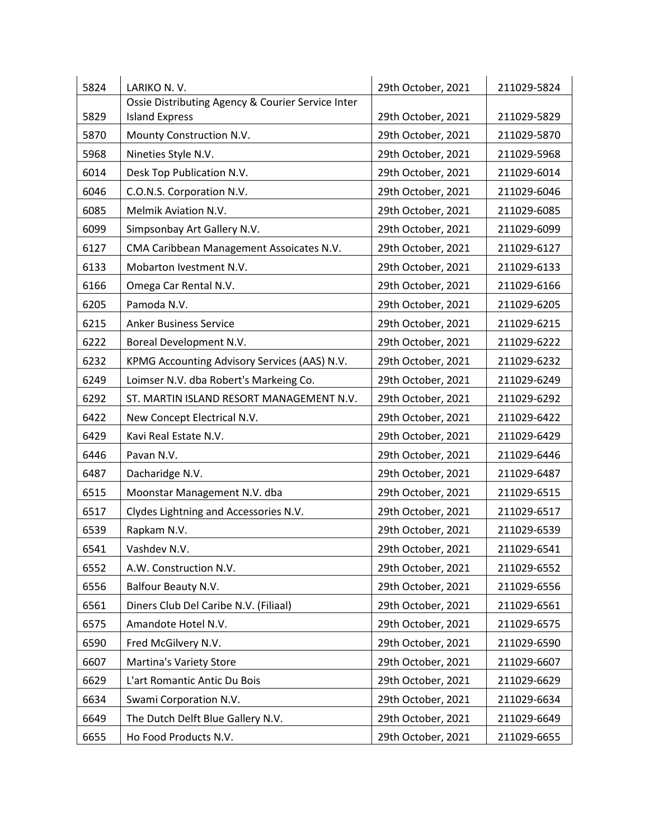| 5824 | LARIKO N.V.                                       | 29th October, 2021 | 211029-5824 |
|------|---------------------------------------------------|--------------------|-------------|
|      | Ossie Distributing Agency & Courier Service Inter |                    |             |
| 5829 | <b>Island Express</b>                             | 29th October, 2021 | 211029-5829 |
| 5870 | Mounty Construction N.V.                          | 29th October, 2021 | 211029-5870 |
| 5968 | Nineties Style N.V.                               | 29th October, 2021 | 211029-5968 |
| 6014 | Desk Top Publication N.V.                         | 29th October, 2021 | 211029-6014 |
| 6046 | C.O.N.S. Corporation N.V.                         | 29th October, 2021 | 211029-6046 |
| 6085 | Melmik Aviation N.V.                              | 29th October, 2021 | 211029-6085 |
| 6099 | Simpsonbay Art Gallery N.V.                       | 29th October, 2021 | 211029-6099 |
| 6127 | CMA Caribbean Management Assoicates N.V.          | 29th October, 2021 | 211029-6127 |
| 6133 | Mobarton Ivestment N.V.                           | 29th October, 2021 | 211029-6133 |
| 6166 | Omega Car Rental N.V.                             | 29th October, 2021 | 211029-6166 |
| 6205 | Pamoda N.V.                                       | 29th October, 2021 | 211029-6205 |
| 6215 | <b>Anker Business Service</b>                     | 29th October, 2021 | 211029-6215 |
| 6222 | Boreal Development N.V.                           | 29th October, 2021 | 211029-6222 |
| 6232 | KPMG Accounting Advisory Services (AAS) N.V.      | 29th October, 2021 | 211029-6232 |
| 6249 | Loimser N.V. dba Robert's Markeing Co.            | 29th October, 2021 | 211029-6249 |
| 6292 | ST. MARTIN ISLAND RESORT MANAGEMENT N.V.          | 29th October, 2021 | 211029-6292 |
| 6422 | New Concept Electrical N.V.                       | 29th October, 2021 | 211029-6422 |
| 6429 | Kavi Real Estate N.V.                             | 29th October, 2021 | 211029-6429 |
| 6446 | Pavan N.V.                                        | 29th October, 2021 | 211029-6446 |
| 6487 | Dacharidge N.V.                                   | 29th October, 2021 | 211029-6487 |
| 6515 | Moonstar Management N.V. dba                      | 29th October, 2021 | 211029-6515 |
| 6517 | Clydes Lightning and Accessories N.V.             | 29th October, 2021 | 211029-6517 |
| 6539 | Rapkam N.V.                                       | 29th October, 2021 | 211029-6539 |
| 6541 | Vashdev N.V.                                      | 29th October, 2021 | 211029-6541 |
| 6552 | A.W. Construction N.V.                            | 29th October, 2021 | 211029-6552 |
| 6556 | Balfour Beauty N.V.                               | 29th October, 2021 | 211029-6556 |
| 6561 | Diners Club Del Caribe N.V. (Filiaal)             | 29th October, 2021 | 211029-6561 |
| 6575 | Amandote Hotel N.V.                               | 29th October, 2021 | 211029-6575 |
| 6590 | Fred McGilvery N.V.                               | 29th October, 2021 | 211029-6590 |
| 6607 | Martina's Variety Store                           | 29th October, 2021 | 211029-6607 |
| 6629 | L'art Romantic Antic Du Bois                      | 29th October, 2021 | 211029-6629 |
| 6634 | Swami Corporation N.V.                            | 29th October, 2021 | 211029-6634 |
| 6649 | The Dutch Delft Blue Gallery N.V.                 | 29th October, 2021 | 211029-6649 |
| 6655 | Ho Food Products N.V.                             | 29th October, 2021 | 211029-6655 |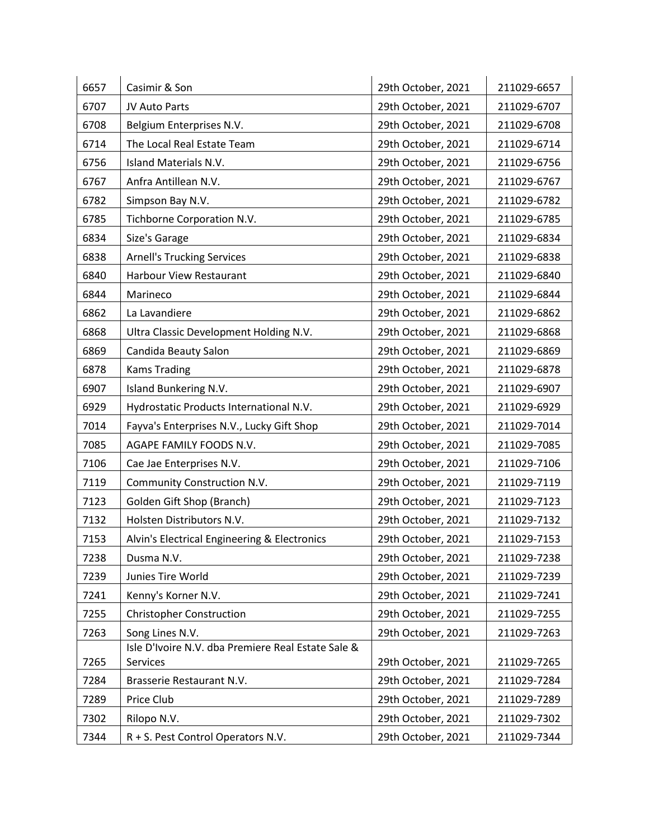| 6657 | Casimir & Son                                                  | 29th October, 2021 | 211029-6657 |
|------|----------------------------------------------------------------|--------------------|-------------|
| 6707 | JV Auto Parts                                                  | 29th October, 2021 | 211029-6707 |
| 6708 | Belgium Enterprises N.V.                                       | 29th October, 2021 | 211029-6708 |
| 6714 | The Local Real Estate Team                                     | 29th October, 2021 | 211029-6714 |
| 6756 | Island Materials N.V.                                          | 29th October, 2021 | 211029-6756 |
| 6767 | Anfra Antillean N.V.                                           | 29th October, 2021 | 211029-6767 |
| 6782 | Simpson Bay N.V.                                               | 29th October, 2021 | 211029-6782 |
| 6785 | Tichborne Corporation N.V.                                     | 29th October, 2021 | 211029-6785 |
| 6834 | Size's Garage                                                  | 29th October, 2021 | 211029-6834 |
| 6838 | <b>Arnell's Trucking Services</b>                              | 29th October, 2021 | 211029-6838 |
| 6840 | <b>Harbour View Restaurant</b>                                 | 29th October, 2021 | 211029-6840 |
| 6844 | Marineco                                                       | 29th October, 2021 | 211029-6844 |
| 6862 | La Lavandiere                                                  | 29th October, 2021 | 211029-6862 |
| 6868 | Ultra Classic Development Holding N.V.                         | 29th October, 2021 | 211029-6868 |
| 6869 | Candida Beauty Salon                                           | 29th October, 2021 | 211029-6869 |
| 6878 | <b>Kams Trading</b>                                            | 29th October, 2021 | 211029-6878 |
| 6907 | Island Bunkering N.V.                                          | 29th October, 2021 | 211029-6907 |
| 6929 | Hydrostatic Products International N.V.                        | 29th October, 2021 | 211029-6929 |
| 7014 | Fayva's Enterprises N.V., Lucky Gift Shop                      | 29th October, 2021 | 211029-7014 |
| 7085 | AGAPE FAMILY FOODS N.V.                                        | 29th October, 2021 | 211029-7085 |
| 7106 | Cae Jae Enterprises N.V.                                       | 29th October, 2021 | 211029-7106 |
| 7119 | Community Construction N.V.                                    | 29th October, 2021 | 211029-7119 |
| 7123 | Golden Gift Shop (Branch)                                      | 29th October, 2021 | 211029-7123 |
| 7132 | Holsten Distributors N.V.                                      | 29th October, 2021 | 211029-7132 |
| 7153 | Alvin's Electrical Engineering & Electronics                   | 29th October, 2021 | 211029-7153 |
| 7238 | Dusma N.V.                                                     | 29th October, 2021 | 211029-7238 |
| 7239 | Junies Tire World                                              | 29th October, 2021 | 211029-7239 |
| 7241 | Kenny's Korner N.V.                                            | 29th October, 2021 | 211029-7241 |
| 7255 | <b>Christopher Construction</b>                                | 29th October, 2021 | 211029-7255 |
| 7263 | Song Lines N.V.                                                | 29th October, 2021 | 211029-7263 |
| 7265 | Isle D'Ivoire N.V. dba Premiere Real Estate Sale &<br>Services | 29th October, 2021 | 211029-7265 |
| 7284 | Brasserie Restaurant N.V.                                      | 29th October, 2021 | 211029-7284 |
| 7289 | Price Club                                                     | 29th October, 2021 | 211029-7289 |
| 7302 | Rilopo N.V.                                                    | 29th October, 2021 | 211029-7302 |
| 7344 | R + S. Pest Control Operators N.V.                             | 29th October, 2021 | 211029-7344 |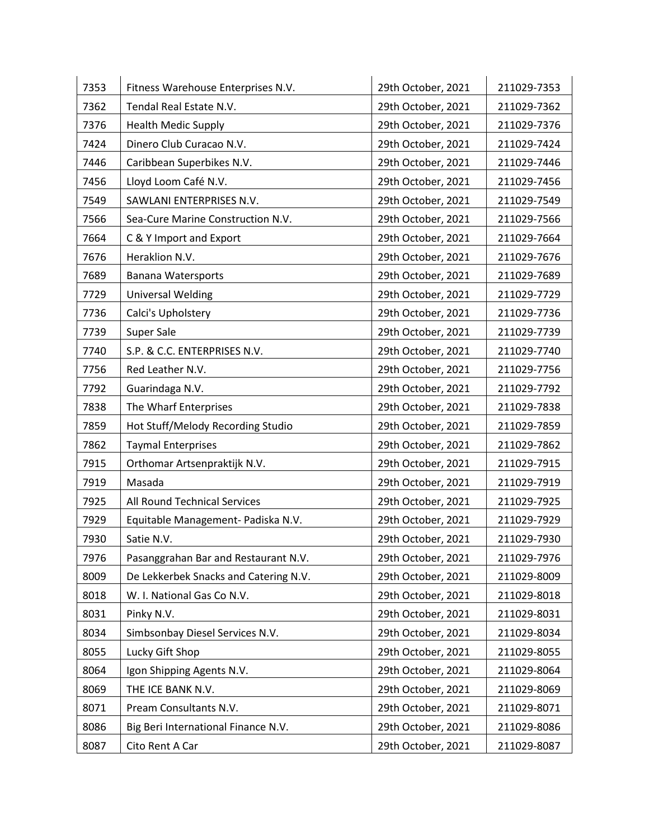| 7353 | Fitness Warehouse Enterprises N.V.    | 29th October, 2021 | 211029-7353 |
|------|---------------------------------------|--------------------|-------------|
| 7362 | Tendal Real Estate N.V.               | 29th October, 2021 | 211029-7362 |
| 7376 | <b>Health Medic Supply</b>            | 29th October, 2021 | 211029-7376 |
| 7424 | Dinero Club Curacao N.V.              | 29th October, 2021 | 211029-7424 |
| 7446 | Caribbean Superbikes N.V.             | 29th October, 2021 | 211029-7446 |
| 7456 | Lloyd Loom Café N.V.                  | 29th October, 2021 | 211029-7456 |
| 7549 | SAWLANI ENTERPRISES N.V.              | 29th October, 2021 | 211029-7549 |
| 7566 | Sea-Cure Marine Construction N.V.     | 29th October, 2021 | 211029-7566 |
| 7664 | C & Y Import and Export               | 29th October, 2021 | 211029-7664 |
| 7676 | Heraklion N.V.                        | 29th October, 2021 | 211029-7676 |
| 7689 | <b>Banana Watersports</b>             | 29th October, 2021 | 211029-7689 |
| 7729 | <b>Universal Welding</b>              | 29th October, 2021 | 211029-7729 |
| 7736 | Calci's Upholstery                    | 29th October, 2021 | 211029-7736 |
| 7739 | Super Sale                            | 29th October, 2021 | 211029-7739 |
| 7740 | S.P. & C.C. ENTERPRISES N.V.          | 29th October, 2021 | 211029-7740 |
| 7756 | Red Leather N.V.                      | 29th October, 2021 | 211029-7756 |
| 7792 | Guarindaga N.V.                       | 29th October, 2021 | 211029-7792 |
| 7838 | The Wharf Enterprises                 | 29th October, 2021 | 211029-7838 |
| 7859 | Hot Stuff/Melody Recording Studio     | 29th October, 2021 | 211029-7859 |
| 7862 | <b>Taymal Enterprises</b>             | 29th October, 2021 | 211029-7862 |
| 7915 | Orthomar Artsenpraktijk N.V.          | 29th October, 2021 | 211029-7915 |
| 7919 | Masada                                | 29th October, 2021 | 211029-7919 |
| 7925 | All Round Technical Services          | 29th October, 2021 | 211029-7925 |
| 7929 | Equitable Management- Padiska N.V.    | 29th October, 2021 | 211029-7929 |
| 7930 | Satie N.V.                            | 29th October, 2021 | 211029-7930 |
| 7976 | Pasanggrahan Bar and Restaurant N.V.  | 29th October, 2021 | 211029-7976 |
| 8009 | De Lekkerbek Snacks and Catering N.V. | 29th October, 2021 | 211029-8009 |
| 8018 | W. I. National Gas Co N.V.            | 29th October, 2021 | 211029-8018 |
| 8031 | Pinky N.V.                            | 29th October, 2021 | 211029-8031 |
| 8034 | Simbsonbay Diesel Services N.V.       | 29th October, 2021 | 211029-8034 |
| 8055 | Lucky Gift Shop                       | 29th October, 2021 | 211029-8055 |
| 8064 | Igon Shipping Agents N.V.             | 29th October, 2021 | 211029-8064 |
| 8069 | THE ICE BANK N.V.                     | 29th October, 2021 | 211029-8069 |
| 8071 | Pream Consultants N.V.                | 29th October, 2021 | 211029-8071 |
| 8086 | Big Beri International Finance N.V.   | 29th October, 2021 | 211029-8086 |
| 8087 | Cito Rent A Car                       | 29th October, 2021 | 211029-8087 |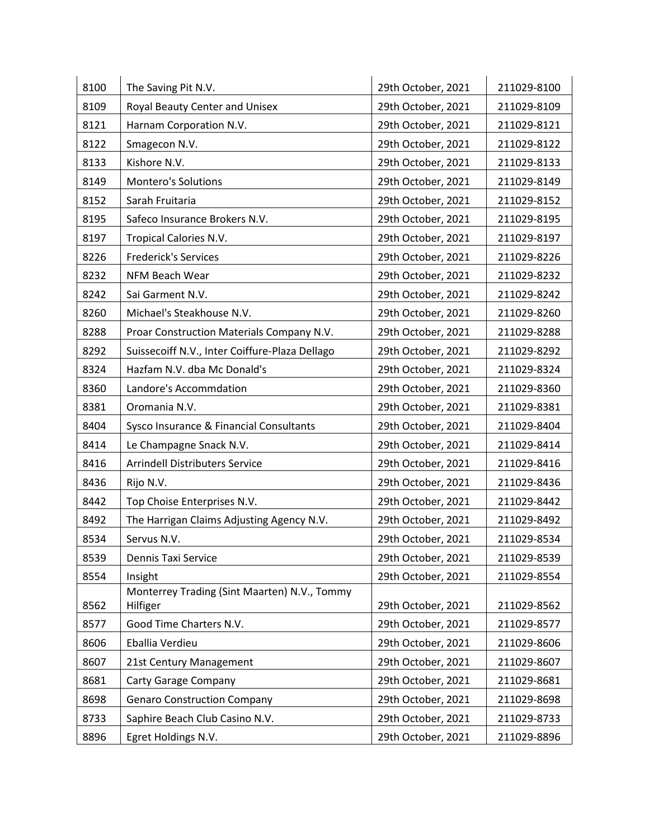| 8100 | The Saving Pit N.V.                                      | 29th October, 2021 | 211029-8100 |
|------|----------------------------------------------------------|--------------------|-------------|
| 8109 | Royal Beauty Center and Unisex                           | 29th October, 2021 | 211029-8109 |
| 8121 | Harnam Corporation N.V.                                  | 29th October, 2021 | 211029-8121 |
| 8122 | Smagecon N.V.                                            | 29th October, 2021 | 211029-8122 |
| 8133 | Kishore N.V.                                             | 29th October, 2021 | 211029-8133 |
| 8149 | <b>Montero's Solutions</b>                               | 29th October, 2021 | 211029-8149 |
| 8152 | Sarah Fruitaria                                          | 29th October, 2021 | 211029-8152 |
| 8195 | Safeco Insurance Brokers N.V.                            | 29th October, 2021 | 211029-8195 |
| 8197 | Tropical Calories N.V.                                   | 29th October, 2021 | 211029-8197 |
| 8226 | <b>Frederick's Services</b>                              | 29th October, 2021 | 211029-8226 |
| 8232 | NFM Beach Wear                                           | 29th October, 2021 | 211029-8232 |
| 8242 | Sai Garment N.V.                                         | 29th October, 2021 | 211029-8242 |
| 8260 | Michael's Steakhouse N.V.                                | 29th October, 2021 | 211029-8260 |
| 8288 | Proar Construction Materials Company N.V.                | 29th October, 2021 | 211029-8288 |
| 8292 | Suissecoiff N.V., Inter Coiffure-Plaza Dellago           | 29th October, 2021 | 211029-8292 |
| 8324 | Hazfam N.V. dba Mc Donald's                              | 29th October, 2021 | 211029-8324 |
| 8360 | Landore's Accommdation                                   | 29th October, 2021 | 211029-8360 |
| 8381 | Oromania N.V.                                            | 29th October, 2021 | 211029-8381 |
| 8404 | Sysco Insurance & Financial Consultants                  | 29th October, 2021 | 211029-8404 |
| 8414 | Le Champagne Snack N.V.                                  | 29th October, 2021 | 211029-8414 |
| 8416 | <b>Arrindell Distributers Service</b>                    | 29th October, 2021 | 211029-8416 |
| 8436 | Rijo N.V.                                                | 29th October, 2021 | 211029-8436 |
| 8442 | Top Choise Enterprises N.V.                              | 29th October, 2021 | 211029-8442 |
| 8492 | The Harrigan Claims Adjusting Agency N.V.                | 29th October, 2021 | 211029-8492 |
| 8534 | Servus N.V.                                              | 29th October, 2021 | 211029-8534 |
| 8539 | Dennis Taxi Service                                      | 29th October, 2021 | 211029-8539 |
| 8554 | Insight                                                  | 29th October, 2021 | 211029-8554 |
| 8562 | Monterrey Trading (Sint Maarten) N.V., Tommy<br>Hilfiger | 29th October, 2021 | 211029-8562 |
| 8577 | Good Time Charters N.V.                                  | 29th October, 2021 | 211029-8577 |
| 8606 | Eballia Verdieu                                          | 29th October, 2021 | 211029-8606 |
| 8607 | 21st Century Management                                  | 29th October, 2021 | 211029-8607 |
| 8681 | <b>Carty Garage Company</b>                              | 29th October, 2021 | 211029-8681 |
| 8698 | <b>Genaro Construction Company</b>                       | 29th October, 2021 | 211029-8698 |
| 8733 | Saphire Beach Club Casino N.V.                           | 29th October, 2021 | 211029-8733 |
| 8896 | Egret Holdings N.V.                                      | 29th October, 2021 | 211029-8896 |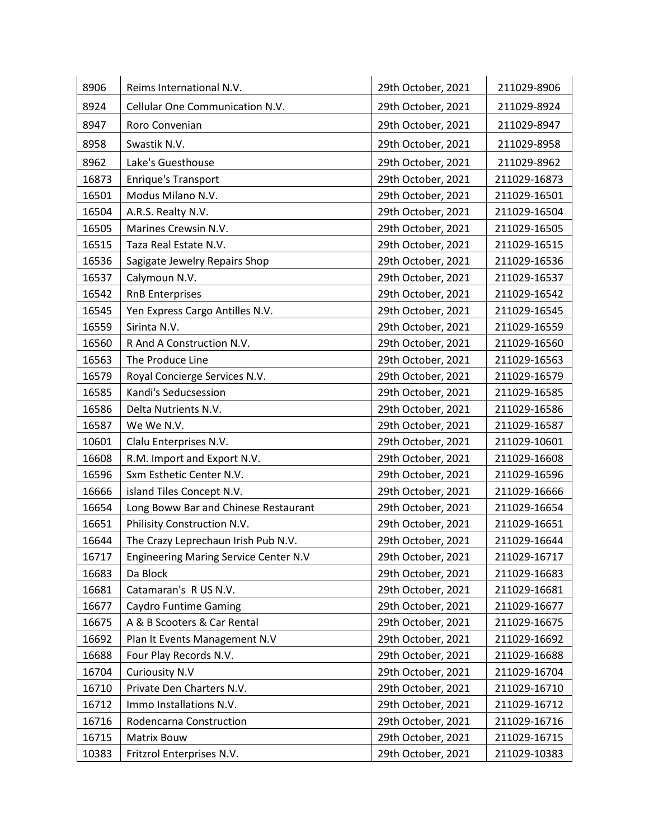| 8906  | Reims International N.V.                     | 29th October, 2021 | 211029-8906  |
|-------|----------------------------------------------|--------------------|--------------|
| 8924  | Cellular One Communication N.V.              | 29th October, 2021 | 211029-8924  |
| 8947  | Roro Convenian                               | 29th October, 2021 | 211029-8947  |
| 8958  | Swastik N.V.                                 | 29th October, 2021 | 211029-8958  |
| 8962  | Lake's Guesthouse                            | 29th October, 2021 | 211029-8962  |
| 16873 | Enrique's Transport                          | 29th October, 2021 | 211029-16873 |
| 16501 | Modus Milano N.V.                            | 29th October, 2021 | 211029-16501 |
| 16504 | A.R.S. Realty N.V.                           | 29th October, 2021 | 211029-16504 |
| 16505 | Marines Crewsin N.V.                         | 29th October, 2021 | 211029-16505 |
| 16515 | Taza Real Estate N.V.                        | 29th October, 2021 | 211029-16515 |
| 16536 | Sagigate Jewelry Repairs Shop                | 29th October, 2021 | 211029-16536 |
| 16537 | Calymoun N.V.                                | 29th October, 2021 | 211029-16537 |
| 16542 | <b>RnB Enterprises</b>                       | 29th October, 2021 | 211029-16542 |
| 16545 | Yen Express Cargo Antilles N.V.              | 29th October, 2021 | 211029-16545 |
| 16559 | Sirinta N.V.                                 | 29th October, 2021 | 211029-16559 |
| 16560 | R And A Construction N.V.                    | 29th October, 2021 | 211029-16560 |
| 16563 | The Produce Line                             | 29th October, 2021 | 211029-16563 |
| 16579 | Royal Concierge Services N.V.                | 29th October, 2021 | 211029-16579 |
| 16585 | Kandi's Seducsession                         | 29th October, 2021 | 211029-16585 |
| 16586 | Delta Nutrients N.V.                         | 29th October, 2021 | 211029-16586 |
| 16587 | We We N.V.                                   | 29th October, 2021 | 211029-16587 |
| 10601 | Clalu Enterprises N.V.                       | 29th October, 2021 | 211029-10601 |
| 16608 | R.M. Import and Export N.V.                  | 29th October, 2021 | 211029-16608 |
| 16596 | Sxm Esthetic Center N.V.                     | 29th October, 2021 | 211029-16596 |
| 16666 | island Tiles Concept N.V.                    | 29th October, 2021 | 211029-16666 |
| 16654 | Long Boww Bar and Chinese Restaurant         | 29th October, 2021 | 211029-16654 |
| 16651 | Philisity Construction N.V.                  | 29th October, 2021 | 211029-16651 |
| 16644 | The Crazy Leprechaun Irish Pub N.V.          | 29th October, 2021 | 211029-16644 |
| 16717 | <b>Engineering Maring Service Center N.V</b> | 29th October, 2021 | 211029-16717 |
| 16683 | Da Block                                     | 29th October, 2021 | 211029-16683 |
| 16681 | Catamaran's R US N.V.                        | 29th October, 2021 | 211029-16681 |
| 16677 | <b>Caydro Funtime Gaming</b>                 | 29th October, 2021 | 211029-16677 |
| 16675 | A & B Scooters & Car Rental                  | 29th October, 2021 | 211029-16675 |
| 16692 | Plan It Events Management N.V                | 29th October, 2021 | 211029-16692 |
| 16688 | Four Play Records N.V.                       | 29th October, 2021 | 211029-16688 |
| 16704 | <b>Curiousity N.V</b>                        | 29th October, 2021 | 211029-16704 |
| 16710 | Private Den Charters N.V.                    | 29th October, 2021 | 211029-16710 |
| 16712 | Immo Installations N.V.                      | 29th October, 2021 | 211029-16712 |
| 16716 | Rodencarna Construction                      | 29th October, 2021 | 211029-16716 |
| 16715 | Matrix Bouw                                  | 29th October, 2021 | 211029-16715 |
| 10383 | Fritzrol Enterprises N.V.                    | 29th October, 2021 | 211029-10383 |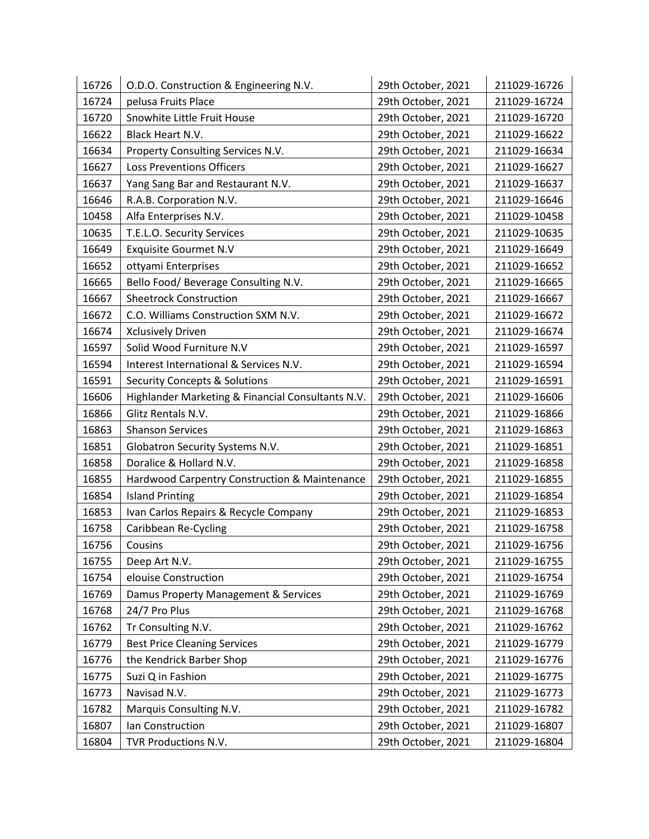| 16726 | O.D.O. Construction & Engineering N.V.            | 29th October, 2021 | 211029-16726 |
|-------|---------------------------------------------------|--------------------|--------------|
| 16724 | pelusa Fruits Place                               | 29th October, 2021 | 211029-16724 |
| 16720 | Snowhite Little Fruit House                       | 29th October, 2021 | 211029-16720 |
| 16622 | Black Heart N.V.                                  | 29th October, 2021 | 211029-16622 |
| 16634 | Property Consulting Services N.V.                 | 29th October, 2021 | 211029-16634 |
| 16627 | <b>Loss Preventions Officers</b>                  | 29th October, 2021 | 211029-16627 |
| 16637 | Yang Sang Bar and Restaurant N.V.                 | 29th October, 2021 | 211029-16637 |
| 16646 | R.A.B. Corporation N.V.                           | 29th October, 2021 | 211029-16646 |
| 10458 | Alfa Enterprises N.V.                             | 29th October, 2021 | 211029-10458 |
| 10635 | T.E.L.O. Security Services                        | 29th October, 2021 | 211029-10635 |
| 16649 | <b>Exquisite Gourmet N.V</b>                      | 29th October, 2021 | 211029-16649 |
| 16652 | ottyami Enterprises                               | 29th October, 2021 | 211029-16652 |
| 16665 | Bello Food/ Beverage Consulting N.V.              | 29th October, 2021 | 211029-16665 |
| 16667 | <b>Sheetrock Construction</b>                     | 29th October, 2021 | 211029-16667 |
| 16672 | C.O. Williams Construction SXM N.V.               | 29th October, 2021 | 211029-16672 |
| 16674 | <b>Xclusively Driven</b>                          | 29th October, 2021 | 211029-16674 |
| 16597 | Solid Wood Furniture N.V                          | 29th October, 2021 | 211029-16597 |
| 16594 | Interest International & Services N.V.            | 29th October, 2021 | 211029-16594 |
| 16591 | <b>Security Concepts &amp; Solutions</b>          | 29th October, 2021 | 211029-16591 |
| 16606 | Highlander Marketing & Financial Consultants N.V. | 29th October, 2021 | 211029-16606 |
| 16866 | Glitz Rentals N.V.                                | 29th October, 2021 | 211029-16866 |
| 16863 | <b>Shanson Services</b>                           | 29th October, 2021 | 211029-16863 |
| 16851 | Globatron Security Systems N.V.                   | 29th October, 2021 | 211029-16851 |
| 16858 | Doralice & Hollard N.V.                           | 29th October, 2021 | 211029-16858 |
| 16855 | Hardwood Carpentry Construction & Maintenance     | 29th October, 2021 | 211029-16855 |
| 16854 | <b>Island Printing</b>                            | 29th October, 2021 | 211029-16854 |
| 16853 | Ivan Carlos Repairs & Recycle Company             | 29th October, 2021 | 211029-16853 |
| 16758 | Caribbean Re-Cycling                              | 29th October, 2021 | 211029-16758 |
| 16756 | Cousins                                           | 29th October, 2021 | 211029-16756 |
| 16755 | Deep Art N.V.                                     | 29th October, 2021 | 211029-16755 |
| 16754 | elouise Construction                              | 29th October, 2021 | 211029-16754 |
| 16769 | Damus Property Management & Services              | 29th October, 2021 | 211029-16769 |
| 16768 | 24/7 Pro Plus                                     | 29th October, 2021 | 211029-16768 |
| 16762 | Tr Consulting N.V.                                | 29th October, 2021 | 211029-16762 |
| 16779 | <b>Best Price Cleaning Services</b>               | 29th October, 2021 | 211029-16779 |
| 16776 | the Kendrick Barber Shop                          | 29th October, 2021 | 211029-16776 |
| 16775 | Suzi Q in Fashion                                 | 29th October, 2021 | 211029-16775 |
| 16773 | Navisad N.V.                                      | 29th October, 2021 | 211029-16773 |
| 16782 | Marquis Consulting N.V.                           | 29th October, 2021 | 211029-16782 |
| 16807 | Ian Construction                                  | 29th October, 2021 | 211029-16807 |
| 16804 | TVR Productions N.V.                              | 29th October, 2021 | 211029-16804 |